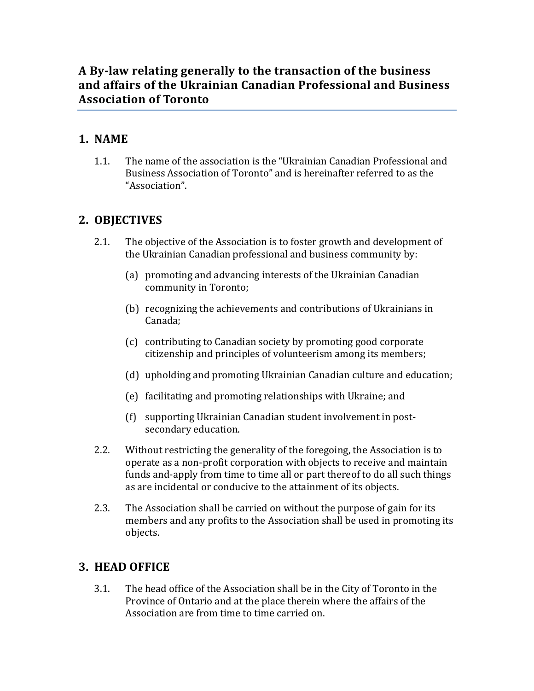# A By-law relating generally to the transaction of the business and affairs of the Ukrainian Canadian Professional and Business **Association of Toronto**

# **1. NAME**

1.1. The name of the association is the "Ukrainian Canadian Professional and Business Association of Toronto" and is hereinafter referred to as the "Association".

# **2. OBJECTIVES**

- 2.1. The objective of the Association is to foster growth and development of the Ukrainian Canadian professional and business community by:
	- (a) promoting and advancing interests of the Ukrainian Canadian community in Toronto;
	- (b) recognizing the achievements and contributions of Ukrainians in Canada;
	- (c) contributing to Canadian society by promoting good corporate citizenship and principles of volunteerism among its members;
	- (d) upholding and promoting Ukrainian Canadian culture and education;
	- (e) facilitating and promoting relationships with Ukraine; and
	- (f) supporting Ukrainian Canadian student involvement in postsecondary education.
- 2.2. Without restricting the generality of the foregoing, the Association is to operate as a non-profit corporation with objects to receive and maintain funds and-apply from time to time all or part thereof to do all such things as are incidental or conducive to the attainment of its objects.
- 2.3. The Association shall be carried on without the purpose of gain for its members and any profits to the Association shall be used in promoting its objects.

### **3. HEAD OFFICE**

3.1. The head office of the Association shall be in the City of Toronto in the Province of Ontario and at the place therein where the affairs of the Association are from time to time carried on.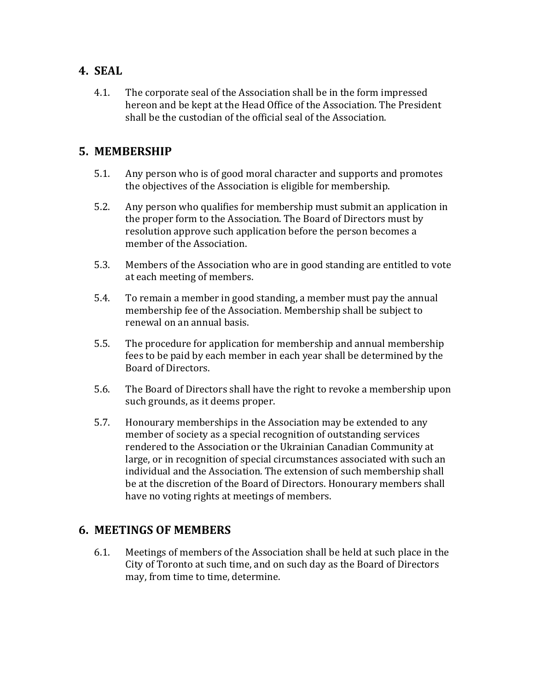### **4. SEAL**

4.1. The corporate seal of the Association shall be in the form impressed hereon and be kept at the Head Office of the Association. The President shall be the custodian of the official seal of the Association.

### **5. MEMBERSHIP**

- 5.1. Any person who is of good moral character and supports and promotes the objectives of the Association is eligible for membership.
- 5.2. Any person who qualifies for membership must submit an application in the proper form to the Association. The Board of Directors must by resolution approve such application before the person becomes a member of the Association.
- 5.3. Members of the Association who are in good standing are entitled to vote at each meeting of members.
- 5.4. To remain a member in good standing, a member must pay the annual membership fee of the Association. Membership shall be subject to renewal on an annual basis.
- 5.5. The procedure for application for membership and annual membership fees to be paid by each member in each year shall be determined by the Board of Directors.
- 5.6. The Board of Directors shall have the right to revoke a membership upon such grounds, as it deems proper.
- 5.7. Honourary memberships in the Association may be extended to any member of society as a special recognition of outstanding services rendered to the Association or the Ukrainian Canadian Community at large, or in recognition of special circumstances associated with such an individual and the Association. The extension of such membership shall be at the discretion of the Board of Directors. Honourary members shall have no voting rights at meetings of members.

#### **6. MEETINGS OF MEMBERS**

6.1. Meetings of members of the Association shall be held at such place in the City of Toronto at such time, and on such day as the Board of Directors may, from time to time, determine.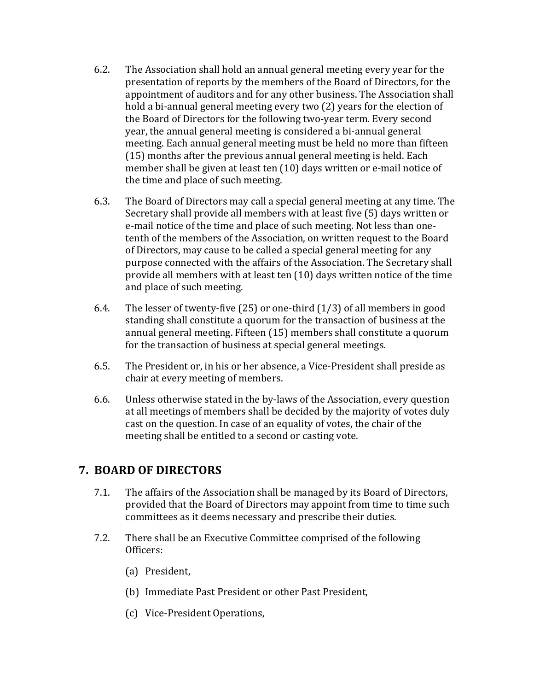- 6.2. The Association shall hold an annual general meeting every year for the presentation of reports by the members of the Board of Directors, for the appointment of auditors and for any other business. The Association shall hold a bi-annual general meeting every two (2) years for the election of the Board of Directors for the following two-year term. Every second year, the annual general meeting is considered a bi-annual general meeting. Each annual general meeting must be held no more than fifteen  $(15)$  months after the previous annual general meeting is held. Each member shall be given at least ten (10) days written or e-mail notice of the time and place of such meeting.
- 6.3. The Board of Directors may call a special general meeting at any time. The Secretary shall provide all members with at least five (5) days written or e-mail notice of the time and place of such meeting. Not less than onetenth of the members of the Association, on written request to the Board of Directors, may cause to be called a special general meeting for any purpose connected with the affairs of the Association. The Secretary shall provide all members with at least ten (10) days written notice of the time and place of such meeting.
- 6.4. The lesser of twenty-five  $(25)$  or one-third  $(1/3)$  of all members in good standing shall constitute a quorum for the transaction of business at the annual general meeting. Fifteen (15) members shall constitute a quorum for the transaction of business at special general meetings.
- 6.5. The President or, in his or her absence, a Vice-President shall preside as chair at every meeting of members.
- 6.6. Unless otherwise stated in the by-laws of the Association, every question at all meetings of members shall be decided by the majority of votes duly cast on the question. In case of an equality of votes, the chair of the meeting shall be entitled to a second or casting vote.

#### **7. BOARD OF DIRECTORS**

- 7.1. The affairs of the Association shall be managed by its Board of Directors, provided that the Board of Directors may appoint from time to time such committees as it deems necessary and prescribe their duties.
- 7.2. There shall be an Executive Committee comprised of the following Officers:
	- (a) President,
	- (b) Immediate Past President or other Past President,
	- (c) Vice-President Operations,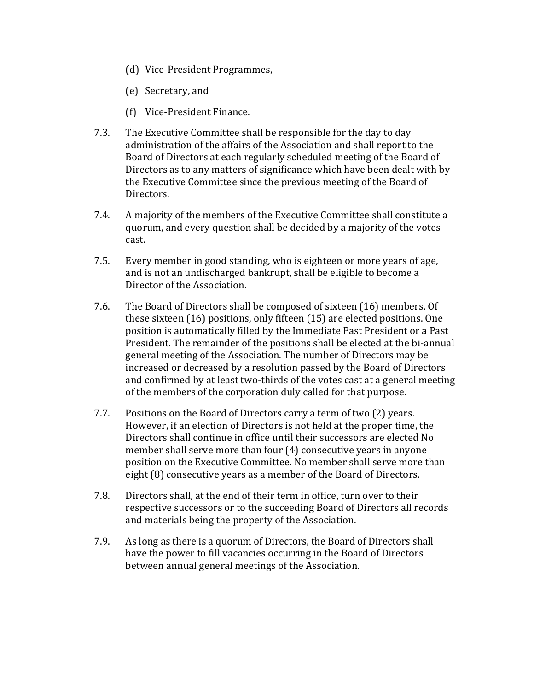- (d) Vice-President Programmes,
- (e) Secretary, and
- (f) Vice-President Finance.
- 7.3. The Executive Committee shall be responsible for the day to day administration of the affairs of the Association and shall report to the Board of Directors at each regularly scheduled meeting of the Board of Directors as to any matters of significance which have been dealt with by the Executive Committee since the previous meeting of the Board of Directors.
- 7.4. A majority of the members of the Executive Committee shall constitute a quorum, and every question shall be decided by a majority of the votes cast.
- 7.5. Every member in good standing, who is eighteen or more years of age, and is not an undischarged bankrupt, shall be eligible to become a Director of the Association.
- 7.6. The Board of Directors shall be composed of sixteen (16) members. Of these sixteen  $(16)$  positions, only fifteen  $(15)$  are elected positions. One position is automatically filled by the Immediate Past President or a Past President. The remainder of the positions shall be elected at the bi-annual general meeting of the Association. The number of Directors may be increased or decreased by a resolution passed by the Board of Directors and confirmed by at least two-thirds of the votes cast at a general meeting of the members of the corporation duly called for that purpose.
- 7.7. Positions on the Board of Directors carry a term of two (2) years. However, if an election of Directors is not held at the proper time, the Directors shall continue in office until their successors are elected No member shall serve more than four  $(4)$  consecutive years in anyone position on the Executive Committee. No member shall serve more than eight (8) consecutive years as a member of the Board of Directors.
- 7.8. Directors shall, at the end of their term in office, turn over to their respective successors or to the succeeding Board of Directors all records and materials being the property of the Association.
- 7.9. As long as there is a quorum of Directors, the Board of Directors shall have the power to fill vacancies occurring in the Board of Directors between annual general meetings of the Association.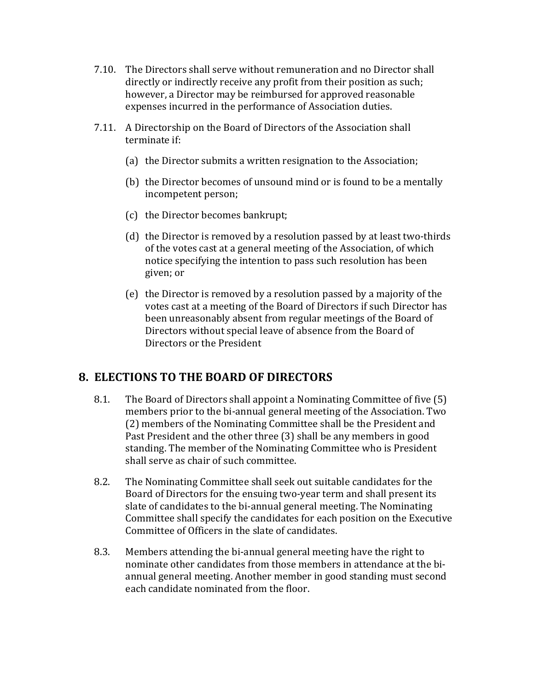- 7.10. The Directors shall serve without remuneration and no Director shall directly or indirectly receive any profit from their position as such; however, a Director may be reimbursed for approved reasonable expenses incurred in the performance of Association duties.
- 7.11. A Directorship on the Board of Directors of the Association shall terminate if:
	- (a) the Director submits a written resignation to the Association;
	- (b) the Director becomes of unsound mind or is found to be a mentally incompetent person;
	- (c) the Director becomes bankrupt;
	- (d) the Director is removed by a resolution passed by at least two-thirds of the votes cast at a general meeting of the Association, of which notice specifying the intention to pass such resolution has been given; or
	- (e) the Director is removed by a resolution passed by a majority of the votes cast at a meeting of the Board of Directors if such Director has been unreasonably absent from regular meetings of the Board of Directors without special leave of absence from the Board of Directors or the President

#### **8. ELECTIONS TO THE BOARD OF DIRECTORS**

- 8.1. The Board of Directors shall appoint a Nominating Committee of five (5) members prior to the bi-annual general meeting of the Association. Two (2) members of the Nominating Committee shall be the President and Past President and the other three (3) shall be any members in good standing. The member of the Nominating Committee who is President shall serve as chair of such committee.
- 8.2. The Nominating Committee shall seek out suitable candidates for the Board of Directors for the ensuing two-year term and shall present its slate of candidates to the bi-annual general meeting. The Nominating Committee shall specify the candidates for each position on the Executive Committee of Officers in the slate of candidates.
- 8.3. Members attending the bi-annual general meeting have the right to nominate other candidates from those members in attendance at the biannual general meeting. Another member in good standing must second each candidate nominated from the floor.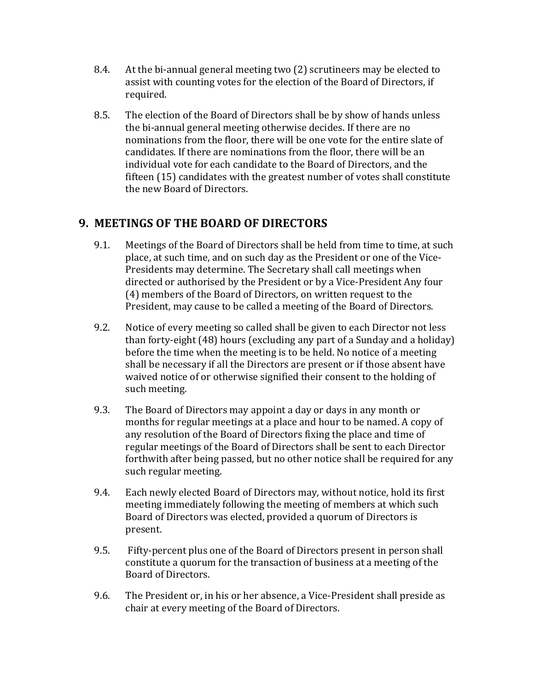- 8.4. At the bi-annual general meeting two (2) scrutineers may be elected to assist with counting votes for the election of the Board of Directors, if required.
- 8.5. The election of the Board of Directors shall be by show of hands unless the bi-annual general meeting otherwise decides. If there are no nominations from the floor, there will be one vote for the entire slate of candidates. If there are nominations from the floor, there will be an individual vote for each candidate to the Board of Directors, and the fifteen (15) candidates with the greatest number of votes shall constitute the new Board of Directors.

### **9. MEETINGS OF THE BOARD OF DIRECTORS**

- 9.1. Meetings of the Board of Directors shall be held from time to time, at such place, at such time, and on such day as the President or one of the Vice-Presidents may determine. The Secretary shall call meetings when directed or authorised by the President or by a Vice-President Any four (4) members of the Board of Directors, on written request to the President, may cause to be called a meeting of the Board of Directors.
- 9.2. Notice of every meeting so called shall be given to each Director not less than forty-eight  $(48)$  hours (excluding any part of a Sunday and a holiday) before the time when the meeting is to be held. No notice of a meeting shall be necessary if all the Directors are present or if those absent have waived notice of or otherwise signified their consent to the holding of such meeting.
- 9.3. The Board of Directors may appoint a day or days in any month or months for regular meetings at a place and hour to be named. A copy of any resolution of the Board of Directors fixing the place and time of regular meetings of the Board of Directors shall be sent to each Director forthwith after being passed, but no other notice shall be required for any such regular meeting.
- 9.4. Each newly elected Board of Directors may, without notice, hold its first meeting immediately following the meeting of members at which such Board of Directors was elected, provided a quorum of Directors is present.
- 9.5. Fifty-percent plus one of the Board of Directors present in person shall constitute a quorum for the transaction of business at a meeting of the Board of Directors.
- 9.6. The President or, in his or her absence, a Vice-President shall preside as chair at every meeting of the Board of Directors.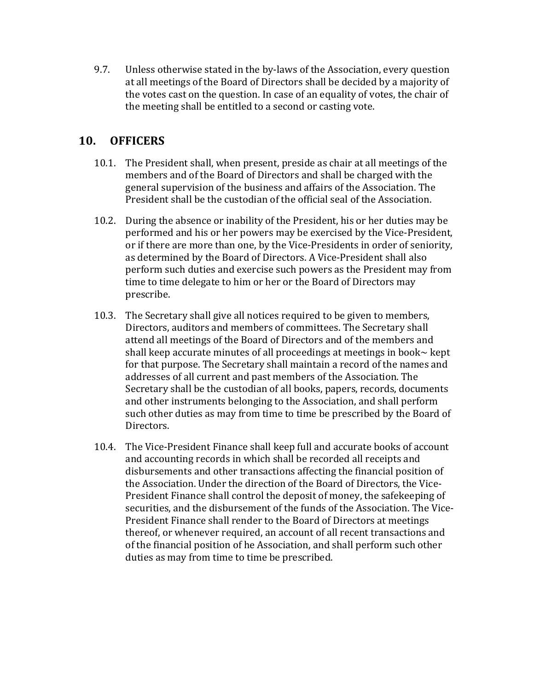9.7. Unless otherwise stated in the by-laws of the Association, every question at all meetings of the Board of Directors shall be decided by a majority of the votes cast on the question. In case of an equality of votes, the chair of the meeting shall be entitled to a second or casting vote.

### **10. OFFICERS**

- 10.1. The President shall, when present, preside as chair at all meetings of the members and of the Board of Directors and shall be charged with the general supervision of the business and affairs of the Association. The President shall be the custodian of the official seal of the Association.
- 10.2. During the absence or inability of the President, his or her duties may be performed and his or her powers may be exercised by the Vice-President, or if there are more than one, by the Vice-Presidents in order of seniority, as determined by the Board of Directors. A Vice-President shall also perform such duties and exercise such powers as the President may from time to time delegate to him or her or the Board of Directors may prescribe.
- 10.3. The Secretary shall give all notices required to be given to members, Directors, auditors and members of committees. The Secretary shall attend all meetings of the Board of Directors and of the members and shall keep accurate minutes of all proceedings at meetings in book $\sim$  kept for that purpose. The Secretary shall maintain a record of the names and addresses of all current and past members of the Association. The Secretary shall be the custodian of all books, papers, records, documents and other instruments belonging to the Association, and shall perform such other duties as may from time to time be prescribed by the Board of Directors.
- 10.4. The Vice-President Finance shall keep full and accurate books of account and accounting records in which shall be recorded all receipts and disbursements and other transactions affecting the financial position of the Association. Under the direction of the Board of Directors, the Vice-President Finance shall control the deposit of money, the safekeeping of securities, and the disbursement of the funds of the Association. The Vice-President Finance shall render to the Board of Directors at meetings thereof, or whenever required, an account of all recent transactions and of the financial position of he Association, and shall perform such other duties as may from time to time be prescribed.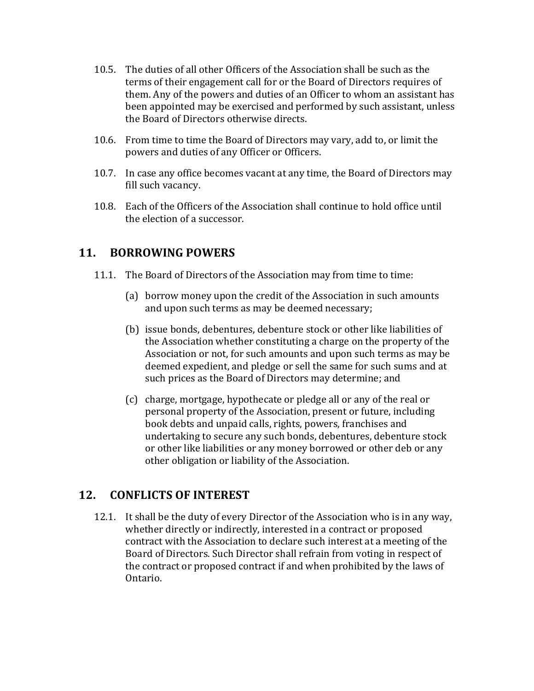- 10.5. The duties of all other Officers of the Association shall be such as the terms of their engagement call for or the Board of Directors requires of them. Any of the powers and duties of an Officer to whom an assistant has been appointed may be exercised and performed by such assistant, unless the Board of Directors otherwise directs.
- 10.6. From time to time the Board of Directors may vary, add to, or limit the powers and duties of any Officer or Officers.
- 10.7. In case any office becomes vacant at any time, the Board of Directors may fill such vacancy.
- 10.8. Each of the Officers of the Association shall continue to hold office until the election of a successor.

### **11. BORROWING POWERS**

- 11.1. The Board of Directors of the Association may from time to time:
	- (a) borrow money upon the credit of the Association in such amounts and upon such terms as may be deemed necessary;
	- (b) issue bonds, debentures, debenture stock or other like liabilities of the Association whether constituting a charge on the property of the Association or not, for such amounts and upon such terms as may be deemed expedient, and pledge or sell the same for such sums and at such prices as the Board of Directors may determine; and
	- (c) charge, mortgage, hypothecate or pledge all or any of the real or personal property of the Association, present or future, including book debts and unpaid calls, rights, powers, franchises and undertaking to secure any such bonds, debentures, debenture stock or other like liabilities or any money borrowed or other deb or any other obligation or liability of the Association.

#### 12. **CONFLICTS OF INTEREST**

12.1. It shall be the duty of every Director of the Association who is in any way, whether directly or indirectly, interested in a contract or proposed contract with the Association to declare such interest at a meeting of the Board of Directors. Such Director shall refrain from voting in respect of the contract or proposed contract if and when prohibited by the laws of Ontario.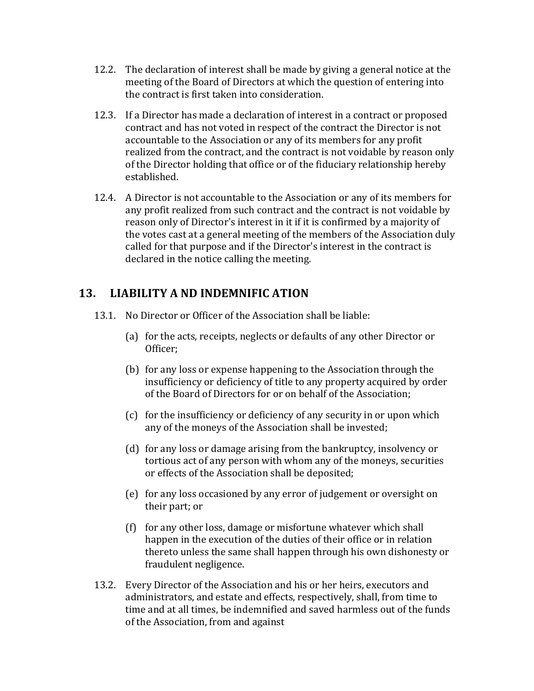- 12.2. The declaration of interest shall be made by giving a general notice at the meeting of the Board of Directors at which the question of entering into the contract is first taken into consideration.
- 12.3. If a Director has made a declaration of interest in a contract or proposed contract and has not voted in respect of the contract the Director is not accountable to the Association or any of its members for any profit realized from the contract, and the contract is not voidable by reason only of the Director holding that office or of the fiduciary relationship hereby established.
- 12.4. A Director is not accountable to the Association or any of its members for any profit realized from such contract and the contract is not voidable by reason only of Director's interest in it if it is confirmed by a majority of the votes cast at a general meeting of the members of the Association duly called for that purpose and if the Director's interest in the contract is declared in the notice calling the meeting.

### 13. LIABILITY A ND INDEMNIFIC ATION

- 13.1. No Director or Officer of the Association shall be liable:
	- (a) for the acts, receipts, neglects or defaults of any other Director or Officer;
	- (b) for any loss or expense happening to the Association through the insufficiency or deficiency of title to any property acquired by order of the Board of Directors for or on behalf of the Association;
	- (c) for the insufficiency or deficiency of any security in or upon which any of the moneys of the Association shall be invested;
	- (d) for any loss or damage arising from the bankruptcy, insolvency or tortious act of any person with whom any of the moneys, securities or effects of the Association shall be deposited;
	- (e) for any loss occasioned by any error of judgement or oversight on their part; or
	- (f) for any other loss, damage or misfortune whatever which shall happen in the execution of the duties of their office or in relation thereto unless the same shall happen through his own dishonesty or fraudulent negligence.
- 13.2. Every Director of the Association and his or her heirs, executors and administrators, and estate and effects, respectively, shall, from time to time and at all times, be indemnified and saved harmless out of the funds of the Association, from and against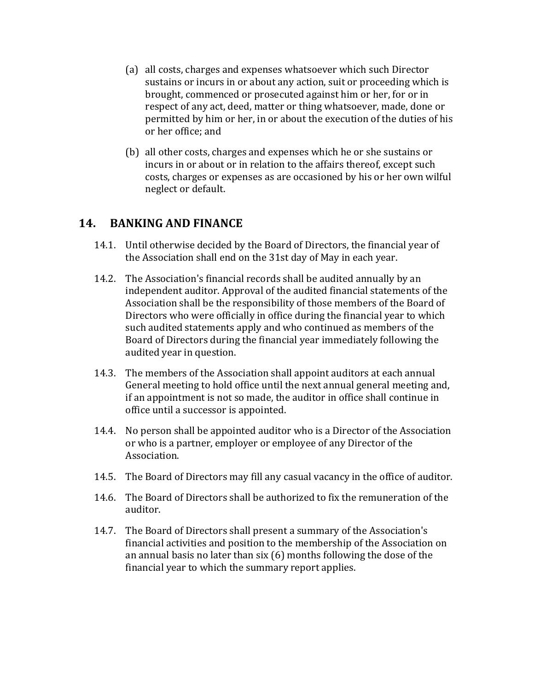- (a) all costs, charges and expenses whatsoever which such Director sustains or incurs in or about any action, suit or proceeding which is brought, commenced or prosecuted against him or her, for or in respect of any act, deed, matter or thing whatsoever, made, done or permitted by him or her, in or about the execution of the duties of his or her office; and
- (b) all other costs, charges and expenses which he or she sustains or incurs in or about or in relation to the affairs thereof, except such costs, charges or expenses as are occasioned by his or her own wilful neglect or default.

#### **14. BANKING AND FINANCE**

- 14.1. Until otherwise decided by the Board of Directors, the financial year of the Association shall end on the 31st day of May in each year.
- 14.2. The Association's financial records shall be audited annually by an independent auditor. Approval of the audited financial statements of the Association shall be the responsibility of those members of the Board of Directors who were officially in office during the financial year to which such audited statements apply and who continued as members of the Board of Directors during the financial year immediately following the audited year in question.
- 14.3. The members of the Association shall appoint auditors at each annual General meeting to hold office until the next annual general meeting and, if an appointment is not so made, the auditor in office shall continue in office until a successor is appointed.
- 14.4. No person shall be appointed auditor who is a Director of the Association or who is a partner, employer or employee of any Director of the Association.
- 14.5. The Board of Directors may fill any casual vacancy in the office of auditor.
- 14.6. The Board of Directors shall be authorized to fix the remuneration of the auditor.
- 14.7. The Board of Directors shall present a summary of the Association's financial activities and position to the membership of the Association on an annual basis no later than  $six(6)$  months following the dose of the financial year to which the summary report applies.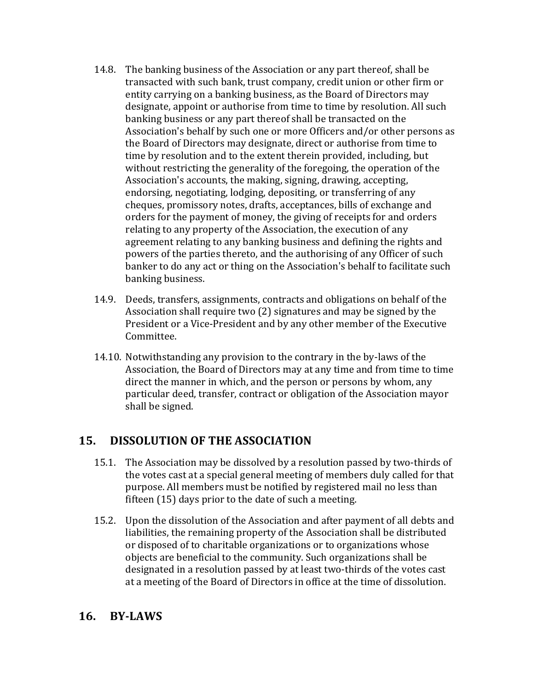- 14.8. The banking business of the Association or any part thereof, shall be transacted with such bank, trust company, credit union or other firm or entity carrying on a banking business, as the Board of Directors may designate, appoint or authorise from time to time by resolution. All such banking business or any part thereof shall be transacted on the Association's behalf by such one or more Officers and/or other persons as the Board of Directors may designate, direct or authorise from time to time by resolution and to the extent therein provided, including, but without restricting the generality of the foregoing, the operation of the Association's accounts, the making, signing, drawing, accepting, endorsing, negotiating, lodging, depositing, or transferring of any cheques, promissory notes, drafts, acceptances, bills of exchange and orders for the payment of money, the giving of receipts for and orders relating to any property of the Association, the execution of any agreement relating to any banking business and defining the rights and powers of the parties thereto, and the authorising of any Officer of such banker to do any act or thing on the Association's behalf to facilitate such banking business.
- 14.9. Deeds, transfers, assignments, contracts and obligations on behalf of the Association shall require two  $(2)$  signatures and may be signed by the President or a Vice-President and by any other member of the Executive Committee.
- 14.10. Notwithstanding any provision to the contrary in the by-laws of the Association, the Board of Directors may at any time and from time to time direct the manner in which, and the person or persons by whom, any particular deed, transfer, contract or obligation of the Association mayor shall be signed.

#### 15. **DISSOLUTION OF THE ASSOCIATION**

- 15.1. The Association may be dissolved by a resolution passed by two-thirds of the votes cast at a special general meeting of members duly called for that purpose. All members must be notified by registered mail no less than fifteen  $(15)$  days prior to the date of such a meeting.
- 15.2. Upon the dissolution of the Association and after payment of all debts and liabilities, the remaining property of the Association shall be distributed or disposed of to charitable organizations or to organizations whose objects are beneficial to the community. Such organizations shall be designated in a resolution passed by at least two-thirds of the votes cast at a meeting of the Board of Directors in office at the time of dissolution.

### **16. BY-LAWS**